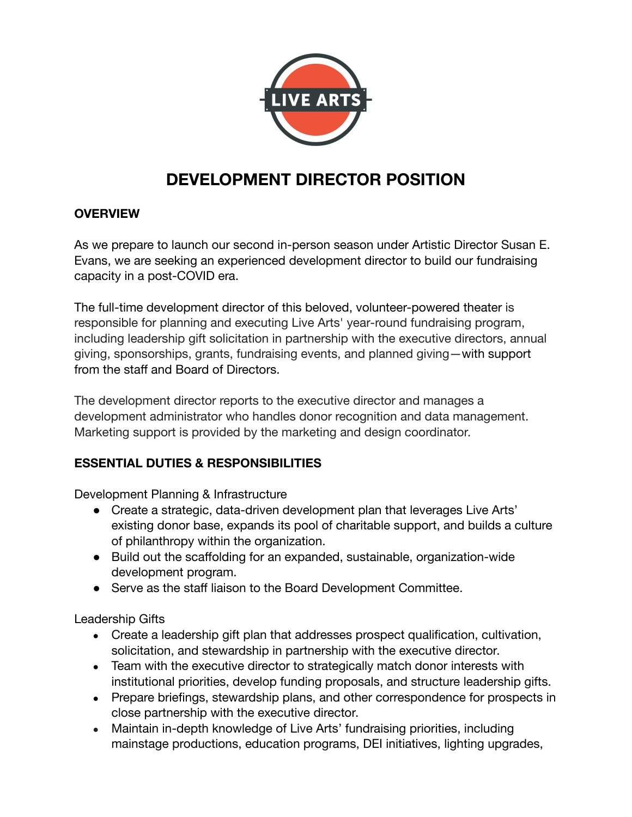

# **DEVELOPMENT DIRECTOR POSITION**

#### **OVERVIEW**

As we prepare to launch our second in-person season under Artistic Director Susan E. Evans, we are seeking an experienced development director to build our fundraising capacity in a post-COVID era.

The full-time development director of this beloved, volunteer-powered theater is responsible for planning and executing Live Arts' year-round fundraising program, including leadership gift solicitation in partnership with the executive directors, annual giving, sponsorships, grants, fundraising events, and planned giving—with support from the staff and Board of Directors.

The development director reports to the executive director and manages a development administrator who handles donor recognition and data management. Marketing support is provided by the marketing and design coordinator.

#### **ESSENTIAL DUTIES & RESPONSIBILITIES**

Development Planning & Infrastructure

- Create a strategic, data-driven development plan that leverages Live Arts' existing donor base, expands its pool of charitable support, and builds a culture of philanthropy within the organization.
- Build out the scaffolding for an expanded, sustainable, organization-wide development program.
- Serve as the staff liaison to the Board Development Committee.

Leadership Gifts

- Create a leadership gift plan that addresses prospect qualification, cultivation, solicitation, and stewardship in partnership with the executive director.
- Team with the executive director to strategically match donor interests with institutional priorities, develop funding proposals, and structure leadership gifts.
- Prepare briefings, stewardship plans, and other correspondence for prospects in close partnership with the executive director.
- Maintain in-depth knowledge of Live Arts' fundraising priorities, including mainstage productions, education programs, DEI initiatives, lighting upgrades,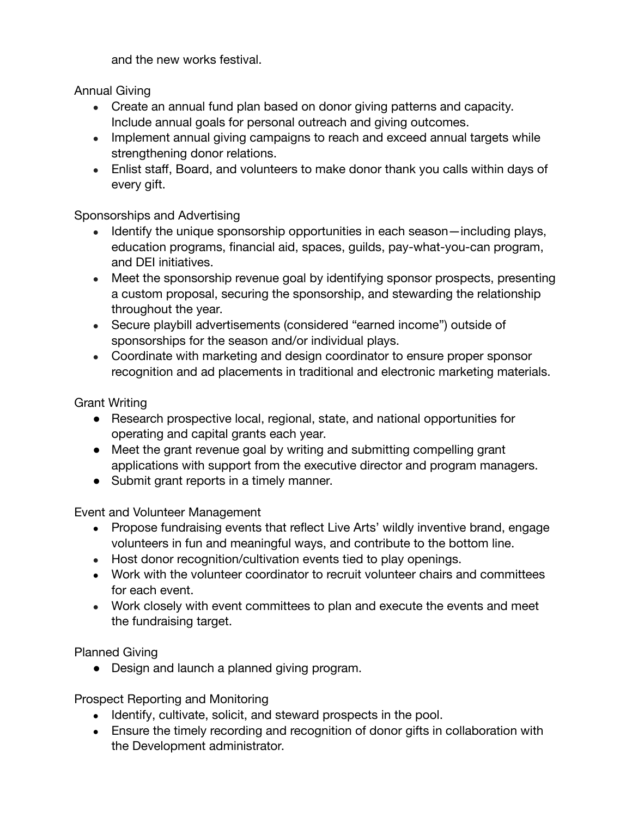and the new works festival.

Annual Giving

- Create an annual fund plan based on donor giving patterns and capacity. Include annual goals for personal outreach and giving outcomes.
- Implement annual giving campaigns to reach and exceed annual targets while strengthening donor relations.
- Enlist staff, Board, and volunteers to make donor thank you calls within days of every gift.

# Sponsorships and Advertising

- Identify the unique sponsorship opportunities in each season—including plays, education programs, financial aid, spaces, guilds, pay-what-you-can program, and DEI initiatives.
- Meet the sponsorship revenue goal by identifying sponsor prospects, presenting a custom proposal, securing the sponsorship, and stewarding the relationship throughout the year.
- Secure playbill advertisements (considered "earned income") outside of sponsorships for the season and/or individual plays.
- Coordinate with marketing and design coordinator to ensure proper sponsor recognition and ad placements in traditional and electronic marketing materials.

Grant Writing

- Research prospective local, regional, state, and national opportunities for operating and capital grants each year.
- Meet the grant revenue goal by writing and submitting compelling grant applications with support from the executive director and program managers.
- Submit grant reports in a timely manner.

Event and Volunteer Management

- Propose fundraising events that reflect Live Arts' wildly inventive brand, engage volunteers in fun and meaningful ways, and contribute to the bottom line.
- Host donor recognition/cultivation events tied to play openings.
- Work with the volunteer coordinator to recruit volunteer chairs and committees for each event.
- Work closely with event committees to plan and execute the events and meet the fundraising target.

Planned Giving

• Design and launch a planned giving program.

Prospect Reporting and Monitoring

- Identify, cultivate, solicit, and steward prospects in the pool.
- Ensure the timely recording and recognition of donor gifts in collaboration with the Development administrator.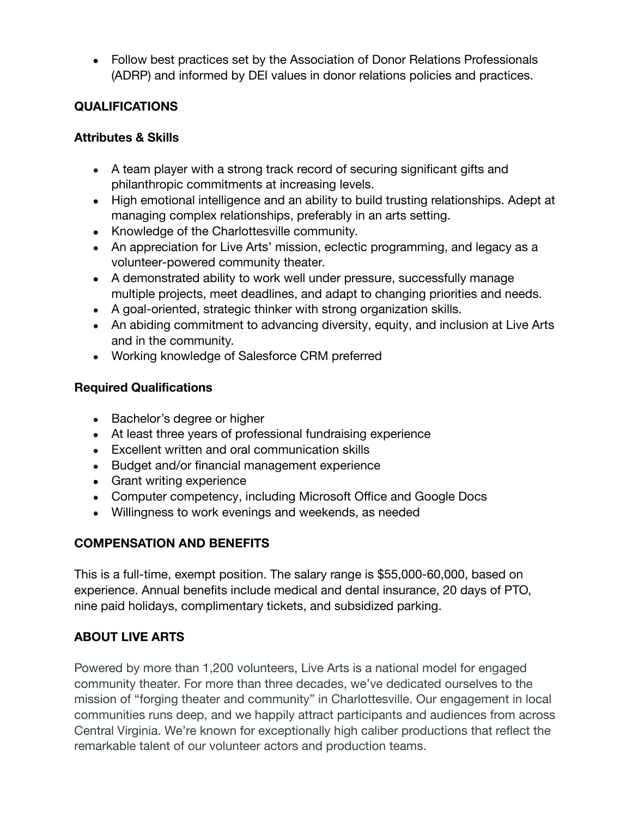• Follow best practices set by the Association of Donor Relations Professionals (ADRP) and informed by DEI values in donor relations policies and practices.

# **QUALIFICATIONS**

#### **Attributes & Skills**

- A team player with a strong track record of securing significant gifts and philanthropic commitments at increasing levels.
- High emotional intelligence and an ability to build trusting relationships. Adept at managing complex relationships, preferably in an arts setting.
- Knowledge of the Charlottesville community.
- An appreciation for Live Arts' mission, eclectic programming, and legacy as a volunteer-powered community theater.
- A demonstrated ability to work well under pressure, successfully manage multiple projects, meet deadlines, and adapt to changing priorities and needs.
- A goal-oriented, strategic thinker with strong organization skills.
- An abiding commitment to advancing diversity, equity, and inclusion at Live Arts and in the community.
- Working knowledge of Salesforce CRM preferred

#### **Required Qualifications**

- Bachelor's degree or higher
- At least three years of professional fundraising experience
- Excellent written and oral communication skills
- Budget and/or financial management experience
- Grant writing experience
- Computer competency, including Microsoft Office and Google Docs
- Willingness to work evenings and weekends, as needed

# **COMPENSATION AND BENEFITS**

This is a full-time, exempt position. The salary range is \$55,000-60,000, based on experience. Annual benefits include medical and dental insurance, 20 days of PTO, nine paid holidays, complimentary tickets, and subsidized parking.

# **ABOUT LIVE ARTS**

Powered by more than 1,200 volunteers, Live Arts is a national model for engaged community theater. For more than three decades, we've dedicated ourselves to the mission of "forging theater and community" in Charlottesville. Our engagement in local communities runs deep, and we happily attract participants and audiences from across Central Virginia. We're known for exceptionally high caliber productions that reflect the remarkable talent of our volunteer actors and production teams.